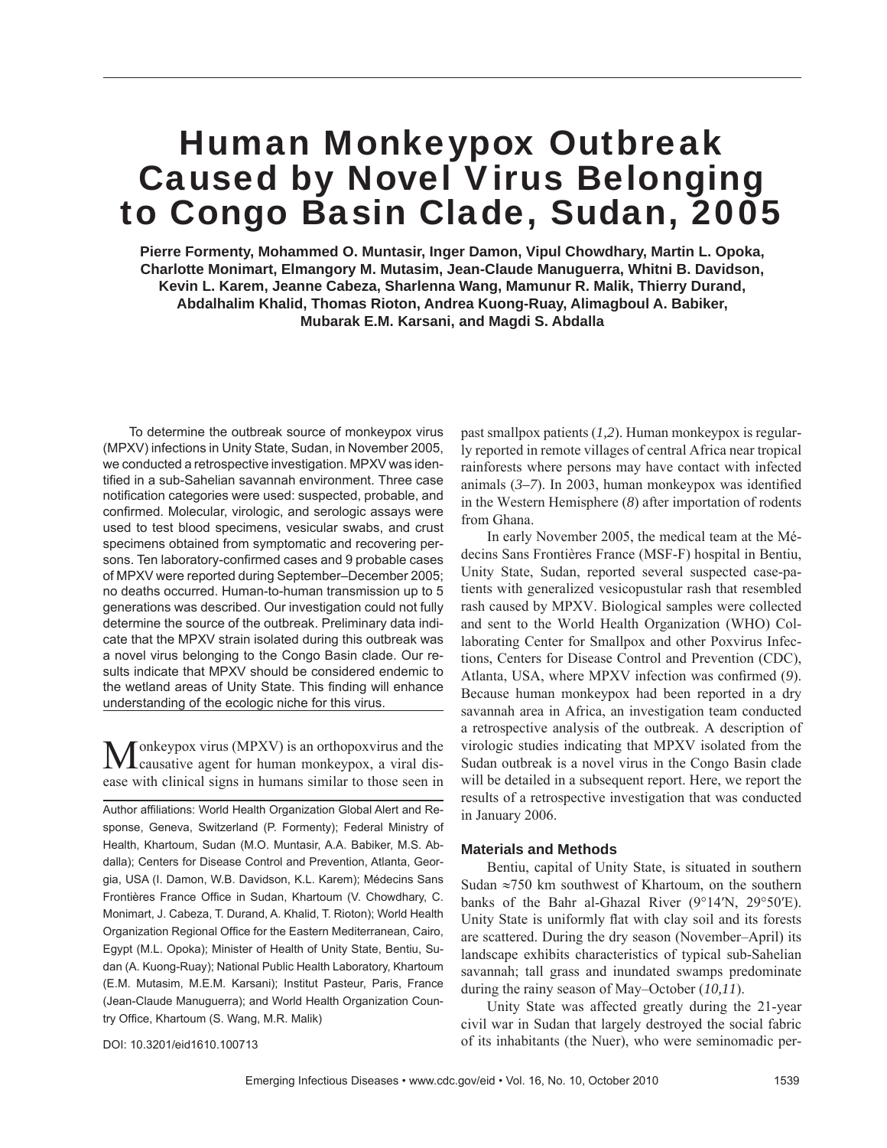# Human Monkeypox Outbreak Caused by Novel Virus Belonging to Congo Basin Clade, Sudan, 2005

**Pierre Formenty, Mohammed O. Muntasir, Inger Damon, Vipul Chowdhary, Martin L. Opoka, Charlotte Monimart, Elmangory M. Mutasim, Jean-Claude Manuguerra, Whitni B. Davidson, Kevin L. Karem, Jeanne Cabeza, Sharlenna Wang, Mamunur R. Malik, Thierry Durand, Abdalhalim Khalid, Thomas Rioton, Andrea Kuong-Ruay, Alimagboul A. Babiker, Mubarak E.M. Karsani, and Magdi S. Abdalla**

To determine the outbreak source of monkeypox virus (MPXV) infections in Unity State, Sudan, in November 2005, we conducted a retrospective investigation. MPXV was identified in a sub-Sahelian savannah environment. Three case notification categories were used: suspected, probable, and confirmed. Molecular, virologic, and serologic assays were used to test blood specimens, vesicular swabs, and crust specimens obtained from symptomatic and recovering persons. Ten laboratory-confirmed cases and 9 probable cases of MPXV were reported during September–December 2005; no deaths occurred. Human-to-human transmission up to 5 generations was described. Our investigation could not fully determine the source of the outbreak. Preliminary data indicate that the MPXV strain isolated during this outbreak was a novel virus belonging to the Congo Basin clade. Our results indicate that MPXV should be considered endemic to the wetland areas of Unity State. This finding will enhance understanding of the ecologic niche for this virus.

onkeypox virus (MPXV) is an orthopoxvirus and the causative agent for human monkeypox, a viral disease with clinical signs in humans similar to those seen in

Author affiliations: World Health Organization Global Alert and Response, Geneva, Switzerland (P. Formenty); Federal Ministry of Health, Khartoum, Sudan (M.O. Muntasir, A.A. Babiker, M.S. Abdalla); Centers for Disease Control and Prevention, Atlanta, Georgia, USA (I. Damon, W.B. Davidson, K.L. Karem); Médecins Sans Frontières France Office in Sudan, Khartoum (V. Chowdhary, C. Monimart, J. Cabeza, T. Durand, A. Khalid, T. Rioton); World Health Organization Regional Office for the Eastern Mediterranean, Cairo, Egypt (M.L. Opoka); Minister of Health of Unity State, Bentiu, Sudan (A. Kuong-Ruay); National Public Health Laboratory, Khartoum (E.M. Mutasim, M.E.M. Karsani); Institut Pasteur, Paris, France (Jean-Claude Manuguerra); and World Health Organization Country Office, Khartoum (S. Wang, M.R. Malik)

past smallpox patients (*1,2*). Human monkeypox is regularly reported in remote villages of central Africa near tropical rainforests where persons may have contact with infected animals  $(3-7)$ . In 2003, human monkeypox was identified in the Western Hemisphere (*8*) after importation of rodents from Ghana.

In early November 2005, the medical team at the Médecins Sans Frontières France (MSF-F) hospital in Bentiu, Unity State, Sudan, reported several suspected case-patients with generalized vesicopustular rash that resembled rash caused by MPXV. Biological samples were collected and sent to the World Health Organization (WHO) Collaborating Center for Smallpox and other Poxvirus Infections, Centers for Disease Control and Prevention (CDC), Atlanta, USA, where MPXV infection was confirmed (9). Because human monkeypox had been reported in a dry savannah area in Africa, an investigation team conducted a retrospective analysis of the outbreak. A description of virologic studies indicating that MPXV isolated from the Sudan outbreak is a novel virus in the Congo Basin clade will be detailed in a subsequent report. Here, we report the results of a retrospective investigation that was conducted in January 2006.

## **Materials and Methods**

Bentiu, capital of Unity State, is situated in southern Sudan ≈750 km southwest of Khartoum, on the southern banks of the Bahr al-Ghazal River (9°14′N, 29°50′E). Unity State is uniformly flat with clay soil and its forests are scattered. During the dry season (November–April) its landscape exhibits characteristics of typical sub-Sahelian savannah; tall grass and inundated swamps predominate during the rainy season of May–October (*10,11*).

Unity State was affected greatly during the 21-year civil war in Sudan that largely destroyed the social fabric of its inhabitants (the Nuer), who were seminomadic per-

DOI: 10.3201/eid1610.100713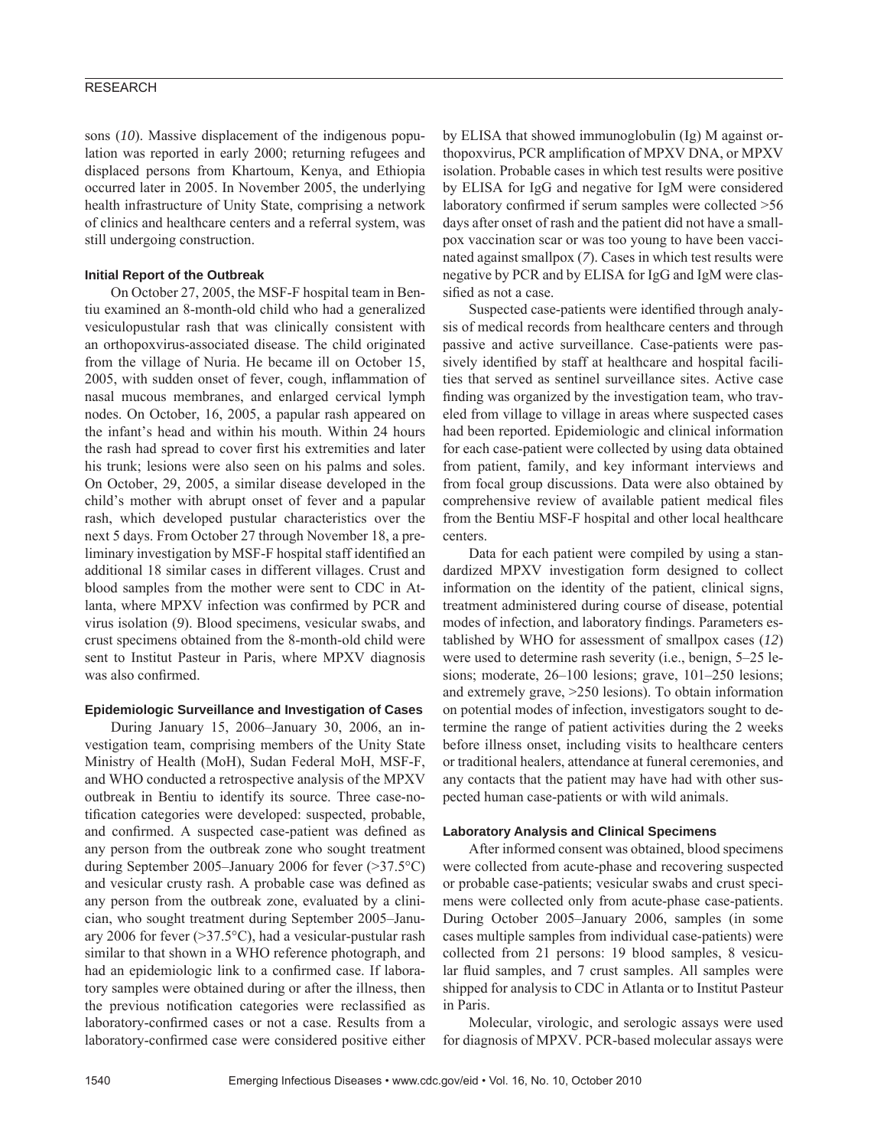sons (*10*). Massive displacement of the indigenous population was reported in early 2000; returning refugees and displaced persons from Khartoum, Kenya, and Ethiopia occurred later in 2005. In November 2005, the underlying health infrastructure of Unity State, comprising a network of clinics and healthcare centers and a referral system, was still undergoing construction.

## **Initial Report of the Outbreak**

On October 27, 2005, the MSF-F hospital team in Bentiu examined an 8-month-old child who had a generalized vesiculopustular rash that was clinically consistent with an orthopoxvirus-associated disease. The child originated from the village of Nuria. He became ill on October 15, 2005, with sudden onset of fever, cough, inflammation of nasal mucous membranes, and enlarged cervical lymph nodes. On October, 16, 2005, a papular rash appeared on the infant's head and within his mouth. Within 24 hours the rash had spread to cover first his extremities and later his trunk; lesions were also seen on his palms and soles. On October, 29, 2005, a similar disease developed in the child's mother with abrupt onset of fever and a papular rash, which developed pustular characteristics over the next 5 days. From October 27 through November 18, a preliminary investigation by MSF-F hospital staff identified an additional 18 similar cases in different villages. Crust and blood samples from the mother were sent to CDC in Atlanta, where MPXV infection was confirmed by PCR and virus isolation (*9*). Blood specimens, vesicular swabs, and crust specimens obtained from the 8-month-old child were sent to Institut Pasteur in Paris, where MPXV diagnosis was also confirmed.

## **Epidemiologic Surveillance and Investigation of Cases**

During January 15, 2006–January 30, 2006, an investigation team, comprising members of the Unity State Ministry of Health (MoH), Sudan Federal MoH, MSF-F, and WHO conducted a retrospective analysis of the MPXV outbreak in Bentiu to identify its source. Three case-notification categories were developed: suspected, probable, and confirmed. A suspected case-patient was defined as any person from the outbreak zone who sought treatment during September 2005–January 2006 for fever (>37.5°C) and vesicular crusty rash. A probable case was defined as any person from the outbreak zone, evaluated by a clinician, who sought treatment during September 2005–January 2006 for fever  $(>=37.5°C)$ , had a vesicular-pustular rash similar to that shown in a WHO reference photograph, and had an epidemiologic link to a confirmed case. If laboratory samples were obtained during or after the illness, then the previous notification categories were reclassified as laboratory-confirmed cases or not a case. Results from a laboratory-confirmed case were considered positive either

by ELISA that showed immunoglobulin (Ig) M against orthopoxvirus, PCR amplification of MPXV DNA, or MPXV isolation. Probable cases in which test results were positive by ELISA for IgG and negative for IgM were considered laboratory confirmed if serum samples were collected >56 days after onset of rash and the patient did not have a smallpox vaccination scar or was too young to have been vaccinated against smallpox (*7*). Cases in which test results were negative by PCR and by ELISA for IgG and IgM were classified as not a case.

Suspected case-patients were identified through analysis of medical records from healthcare centers and through passive and active surveillance. Case-patients were passively identified by staff at healthcare and hospital facilities that served as sentinel surveillance sites. Active case finding was organized by the investigation team, who traveled from village to village in areas where suspected cases had been reported. Epidemiologic and clinical information for each case-patient were collected by using data obtained from patient, family, and key informant interviews and from focal group discussions. Data were also obtained by comprehensive review of available patient medical files from the Bentiu MSF-F hospital and other local healthcare centers.

Data for each patient were compiled by using a standardized MPXV investigation form designed to collect information on the identity of the patient, clinical signs, treatment administered during course of disease, potential modes of infection, and laboratory findings. Parameters established by WHO for assessment of smallpox cases (*12*) were used to determine rash severity (i.e., benign, 5–25 lesions; moderate, 26–100 lesions; grave, 101–250 lesions; and extremely grave, >250 lesions). To obtain information on potential modes of infection, investigators sought to determine the range of patient activities during the 2 weeks before illness onset, including visits to healthcare centers or traditional healers, attendance at funeral ceremonies, and any contacts that the patient may have had with other suspected human case-patients or with wild animals.

## **Laboratory Analysis and Clinical Specimens**

After informed consent was obtained, blood specimens were collected from acute-phase and recovering suspected or probable case-patients; vesicular swabs and crust specimens were collected only from acute-phase case-patients. During October 2005–January 2006, samples (in some cases multiple samples from individual case-patients) were collected from 21 persons: 19 blood samples, 8 vesicular fluid samples, and 7 crust samples. All samples were shipped for analysis to CDC in Atlanta or to Institut Pasteur in Paris.

Molecular, virologic, and serologic assays were used for diagnosis of MPXV. PCR-based molecular assays were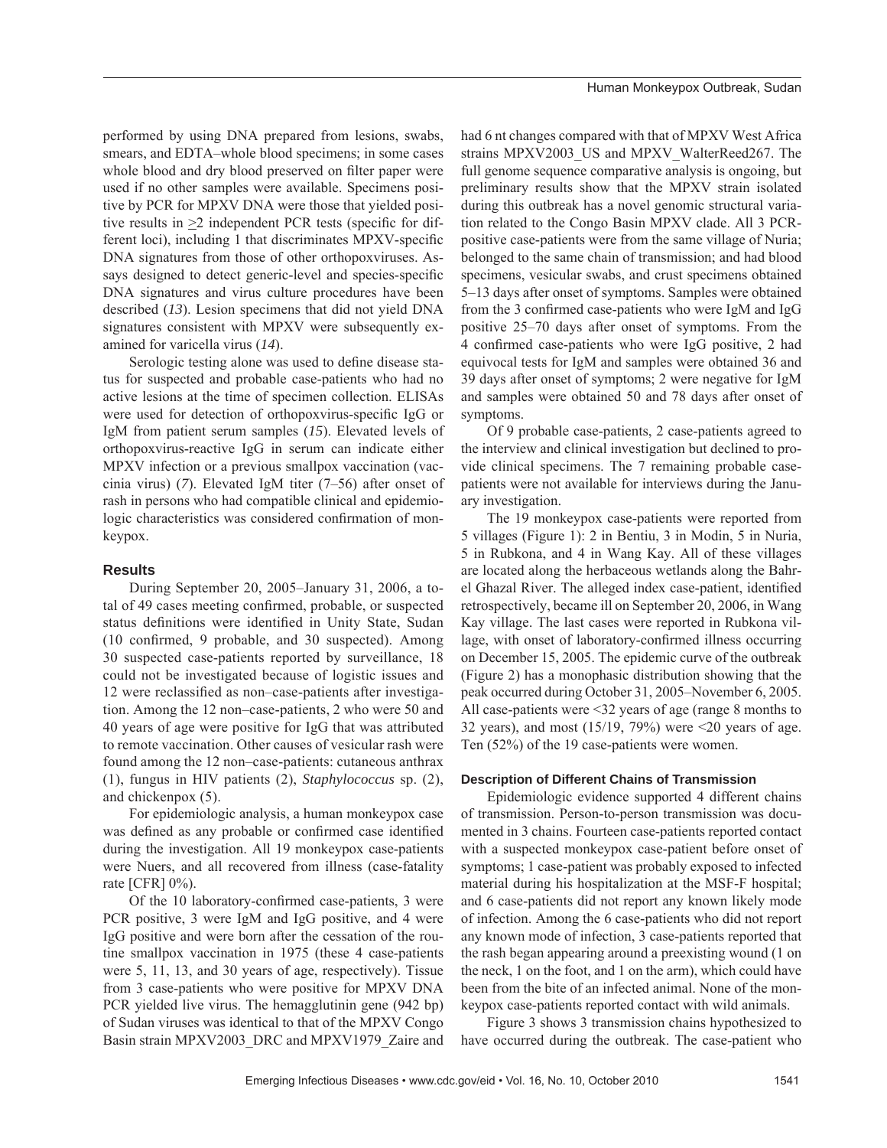performed by using DNA prepared from lesions, swabs, smears, and EDTA–whole blood specimens; in some cases whole blood and dry blood preserved on filter paper were used if no other samples were available. Specimens positive by PCR for MPXV DNA were those that yielded positive results in  $\geq 2$  independent PCR tests (specific for different loci), including 1 that discriminates MPXV-specific DNA signatures from those of other orthopoxviruses. Assays designed to detect generic-level and species-specific DNA signatures and virus culture procedures have been described (*13*). Lesion specimens that did not yield DNA signatures consistent with MPXV were subsequently examined for varicella virus (*14*).

Serologic testing alone was used to define disease status for suspected and probable case-patients who had no active lesions at the time of specimen collection. ELISAs were used for detection of orthopoxvirus-specific IgG or IgM from patient serum samples (*15*). Elevated levels of orthopoxvirus-reactive IgG in serum can indicate either MPXV infection or a previous smallpox vaccination (vaccinia virus) (*7*). Elevated IgM titer (7–56) after onset of rash in persons who had compatible clinical and epidemiologic characteristics was considered confirmation of monkeypox.

# **Results**

During September 20, 2005–January 31, 2006, a total of 49 cases meeting confirmed, probable, or suspected status definitions were identified in Unity State, Sudan  $(10 \text{ confirmed}, 9 \text{ probable}, \text{and } 30 \text{ suspected})$ . Among 30 suspected case-patients reported by surveillance, 18 could not be investigated because of logistic issues and 12 were reclassified as non–case-patients after investigation. Among the 12 non–case-patients, 2 who were 50 and 40 years of age were positive for IgG that was attributed to remote vaccination. Other causes of vesicular rash were found among the 12 non–case-patients: cutaneous anthrax (1), fungus in HIV patients (2), *Staphylococcus* sp. (2), and chickenpox (5).

For epidemiologic analysis, a human monkeypox case was defined as any probable or confirmed case identified during the investigation. All 19 monkeypox case-patients were Nuers, and all recovered from illness (case-fatality rate [CFR] 0%).

Of the 10 laboratory-confirmed case-patients, 3 were PCR positive, 3 were IgM and IgG positive, and 4 were IgG positive and were born after the cessation of the routine smallpox vaccination in 1975 (these 4 case-patients were 5, 11, 13, and 30 years of age, respectively). Tissue from 3 case-patients who were positive for MPXV DNA PCR yielded live virus. The hemagglutinin gene (942 bp) of Sudan viruses was identical to that of the MPXV Congo Basin strain MPXV2003\_DRC and MPXV1979\_Zaire and had 6 nt changes compared with that of MPXV West Africa strains MPXV2003\_US and MPXV\_WalterReed267. The full genome sequence comparative analysis is ongoing, but preliminary results show that the MPXV strain isolated during this outbreak has a novel genomic structural variation related to the Congo Basin MPXV clade. All 3 PCRpositive case-patients were from the same village of Nuria; belonged to the same chain of transmission; and had blood specimens, vesicular swabs, and crust specimens obtained 5–13 days after onset of symptoms. Samples were obtained from the 3 confirmed case-patients who were IgM and IgG positive 25–70 days after onset of symptoms. From the 4 confirmed case-patients who were IgG positive, 2 had equivocal tests for IgM and samples were obtained 36 and 39 days after onset of symptoms; 2 were negative for IgM and samples were obtained 50 and 78 days after onset of symptoms.

Of 9 probable case-patients, 2 case-patients agreed to the interview and clinical investigation but declined to provide clinical specimens. The 7 remaining probable casepatients were not available for interviews during the January investigation.

The 19 monkeypox case-patients were reported from 5 villages (Figure 1): 2 in Bentiu, 3 in Modin, 5 in Nuria, 5 in Rubkona, and 4 in Wang Kay. All of these villages are located along the herbaceous wetlands along the Bahrel Ghazal River. The alleged index case-patient, identified retrospectively, became ill on September 20, 2006, in Wang Kay village. The last cases were reported in Rubkona village, with onset of laboratory-confirmed illness occurring on December 15, 2005. The epidemic curve of the outbreak (Figure 2) has a monophasic distribution showing that the peak occurred during October 31, 2005–November 6, 2005. All case-patients were <32 years of age (range 8 months to 32 years), and most  $(15/19, 79\%)$  were  $\leq 20$  years of age. Ten (52%) of the 19 case-patients were women.

## **Description of Different Chains of Transmission**

Epidemiologic evidence supported 4 different chains of transmission. Person-to-person transmission was documented in 3 chains. Fourteen case-patients reported contact with a suspected monkeypox case-patient before onset of symptoms; 1 case-patient was probably exposed to infected material during his hospitalization at the MSF-F hospital; and 6 case-patients did not report any known likely mode of infection. Among the 6 case-patients who did not report any known mode of infection, 3 case-patients reported that the rash began appearing around a preexisting wound (1 on the neck, 1 on the foot, and 1 on the arm), which could have been from the bite of an infected animal. None of the monkeypox case-patients reported contact with wild animals.

Figure 3 shows 3 transmission chains hypothesized to have occurred during the outbreak. The case-patient who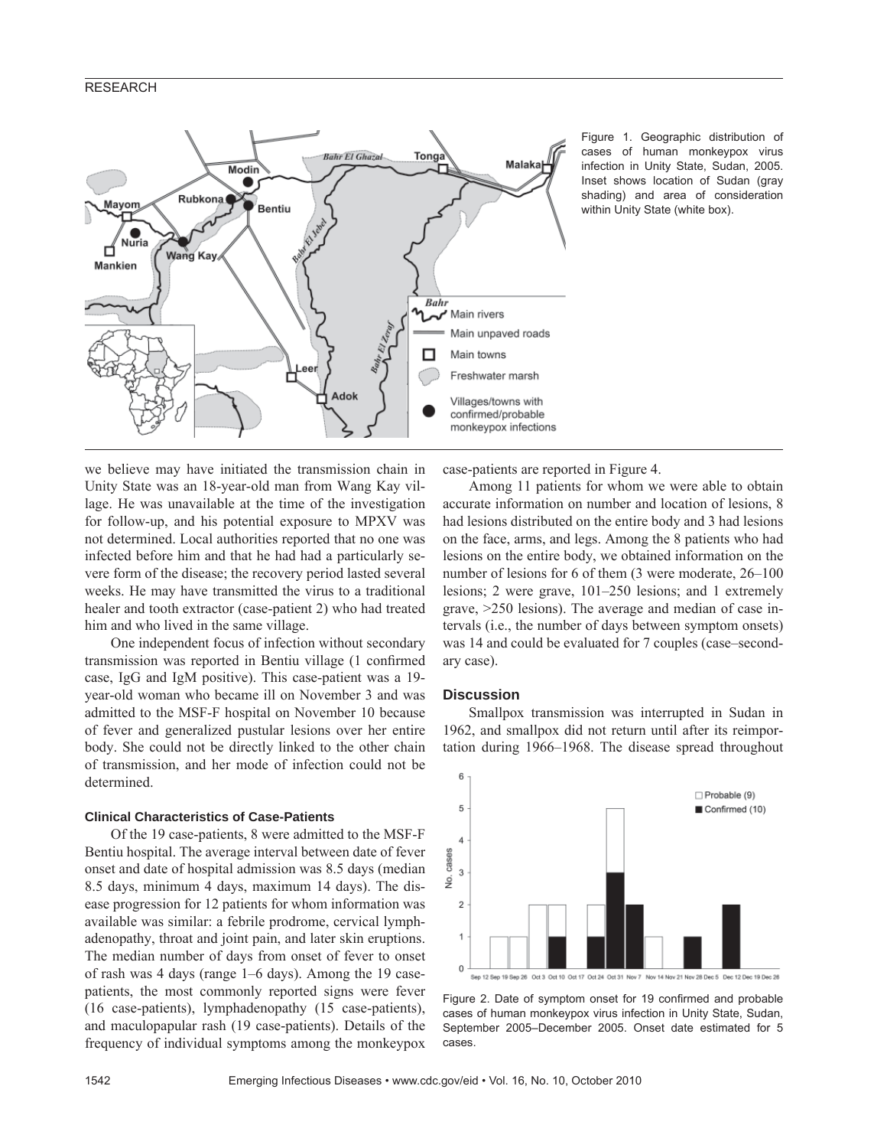# RESEARCH



Figure 1. Geographic distribution of cases of human monkeypox virus infection in Unity State, Sudan, 2005. Inset shows location of Sudan (gray shading) and area of consideration within Unity State (white box).

we believe may have initiated the transmission chain in Unity State was an 18-year-old man from Wang Kay village. He was unavailable at the time of the investigation for follow-up, and his potential exposure to MPXV was not determined. Local authorities reported that no one was infected before him and that he had had a particularly severe form of the disease; the recovery period lasted several weeks. He may have transmitted the virus to a traditional healer and tooth extractor (case-patient 2) who had treated him and who lived in the same village.

One independent focus of infection without secondary transmission was reported in Bentiu village (1 confirmed case, IgG and IgM positive). This case-patient was a 19 year-old woman who became ill on November 3 and was admitted to the MSF-F hospital on November 10 because of fever and generalized pustular lesions over her entire body. She could not be directly linked to the other chain of transmission, and her mode of infection could not be determined.

## **Clinical Characteristics of Case-Patients**

Of the 19 case-patients, 8 were admitted to the MSF-F Bentiu hospital. The average interval between date of fever onset and date of hospital admission was 8.5 days (median 8.5 days, minimum 4 days, maximum 14 days). The disease progression for 12 patients for whom information was available was similar: a febrile prodrome, cervical lymphadenopathy, throat and joint pain, and later skin eruptions. The median number of days from onset of fever to onset of rash was 4 days (range 1–6 days). Among the 19 casepatients, the most commonly reported signs were fever (16 case-patients), lymphadenopathy (15 case-patients), and maculopapular rash (19 case-patients). Details of the frequency of individual symptoms among the monkeypox case-patients are reported in Figure 4.

Among 11 patients for whom we were able to obtain accurate information on number and location of lesions, 8 had lesions distributed on the entire body and 3 had lesions on the face, arms, and legs. Among the 8 patients who had lesions on the entire body, we obtained information on the number of lesions for 6 of them (3 were moderate, 26–100 lesions; 2 were grave, 101–250 lesions; and 1 extremely grave, >250 lesions). The average and median of case intervals (i.e., the number of days between symptom onsets) was 14 and could be evaluated for 7 couples (case–secondary case).

# **Discussion**

Smallpox transmission was interrupted in Sudan in 1962, and smallpox did not return until after its reimportation during 1966–1968. The disease spread throughout



Figure 2. Date of symptom onset for 19 confirmed and probable cases of human monkeypox virus infection in Unity State, Sudan, September 2005–December 2005. Onset date estimated for 5 cases.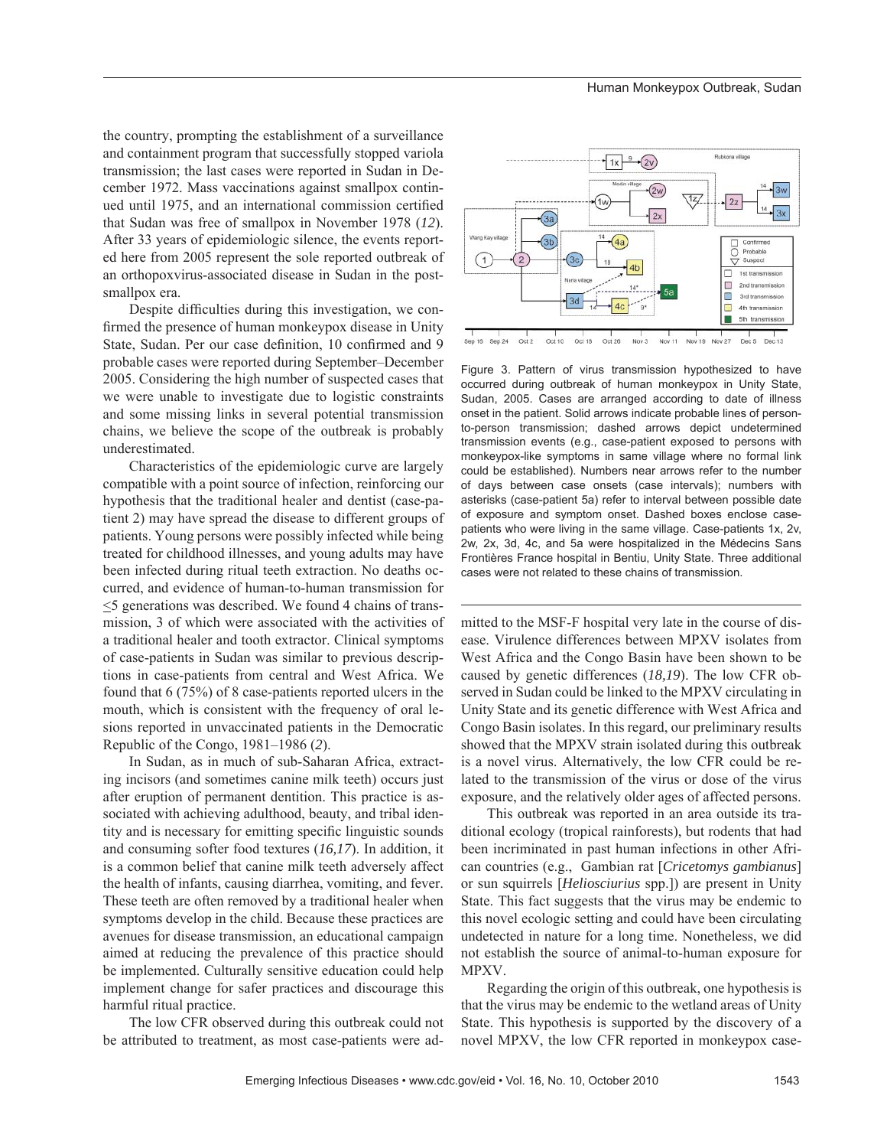the country, prompting the establishment of a surveillance and containment program that successfully stopped variola transmission; the last cases were reported in Sudan in December 1972. Mass vaccinations against smallpox continued until 1975, and an international commission certified that Sudan was free of smallpox in November 1978 (*12*). After 33 years of epidemiologic silence, the events reported here from 2005 represent the sole reported outbreak of an orthopoxvirus-associated disease in Sudan in the postsmallpox era.

Despite difficulties during this investigation, we confirmed the presence of human monkeypox disease in Unity State, Sudan. Per our case definition, 10 confirmed and 9 probable cases were reported during September–December 2005. Considering the high number of suspected cases that we were unable to investigate due to logistic constraints and some missing links in several potential transmission chains, we believe the scope of the outbreak is probably underestimated.

Characteristics of the epidemiologic curve are largely compatible with a point source of infection, reinforcing our hypothesis that the traditional healer and dentist (case-patient 2) may have spread the disease to different groups of patients. Young persons were possibly infected while being treated for childhood illnesses, and young adults may have been infected during ritual teeth extraction. No deaths occurred, and evidence of human-to-human transmission for  $\leq$ 5 generations was described. We found 4 chains of transmission, 3 of which were associated with the activities of a traditional healer and tooth extractor. Clinical symptoms of case-patients in Sudan was similar to previous descriptions in case-patients from central and West Africa. We found that 6 (75%) of 8 case-patients reported ulcers in the mouth, which is consistent with the frequency of oral lesions reported in unvaccinated patients in the Democratic Republic of the Congo, 1981–1986 (*2*).

In Sudan, as in much of sub-Saharan Africa, extracting incisors (and sometimes canine milk teeth) occurs just after eruption of permanent dentition. This practice is associated with achieving adulthood, beauty, and tribal identity and is necessary for emitting specific linguistic sounds and consuming softer food textures (*16,17*). In addition, it is a common belief that canine milk teeth adversely affect the health of infants, causing diarrhea, vomiting, and fever. These teeth are often removed by a traditional healer when symptoms develop in the child. Because these practices are avenues for disease transmission, an educational campaign aimed at reducing the prevalence of this practice should be implemented. Culturally sensitive education could help implement change for safer practices and discourage this harmful ritual practice.

The low CFR observed during this outbreak could not be attributed to treatment, as most case-patients were ad-



Figure 3. Pattern of virus transmission hypothesized to have occurred during outbreak of human monkeypox in Unity State, Sudan, 2005. Cases are arranged according to date of illness onset in the patient. Solid arrows indicate probable lines of personto-person transmission; dashed arrows depict undetermined transmission events (e.g., case-patient exposed to persons with monkeypox-like symptoms in same village where no formal link could be established). Numbers near arrows refer to the number of days between case onsets (case intervals); numbers with asterisks (case-patient 5a) refer to interval between possible date of exposure and symptom onset. Dashed boxes enclose casepatients who were living in the same village. Case-patients 1x, 2v, 2w, 2x, 3d, 4c, and 5a were hospitalized in the Médecins Sans Frontières France hospital in Bentiu, Unity State. Three additional cases were not related to these chains of transmission.

mitted to the MSF-F hospital very late in the course of disease. Virulence differences between MPXV isolates from West Africa and the Congo Basin have been shown to be caused by genetic differences (*18,19*). The low CFR observed in Sudan could be linked to the MPXV circulating in Unity State and its genetic difference with West Africa and Congo Basin isolates. In this regard, our preliminary results showed that the MPXV strain isolated during this outbreak is a novel virus. Alternatively, the low CFR could be related to the transmission of the virus or dose of the virus exposure, and the relatively older ages of affected persons.

This outbreak was reported in an area outside its traditional ecology (tropical rainforests), but rodents that had been incriminated in past human infections in other African countries (e.g., Gambian rat [*Cricetomys gambianus*] or sun squirrels [*Heliosciurius* spp.]) are present in Unity State. This fact suggests that the virus may be endemic to this novel ecologic setting and could have been circulating undetected in nature for a long time. Nonetheless, we did not establish the source of animal-to-human exposure for MPXV.

Regarding the origin of this outbreak, one hypothesis is that the virus may be endemic to the wetland areas of Unity State. This hypothesis is supported by the discovery of a novel MPXV, the low CFR reported in monkeypox case-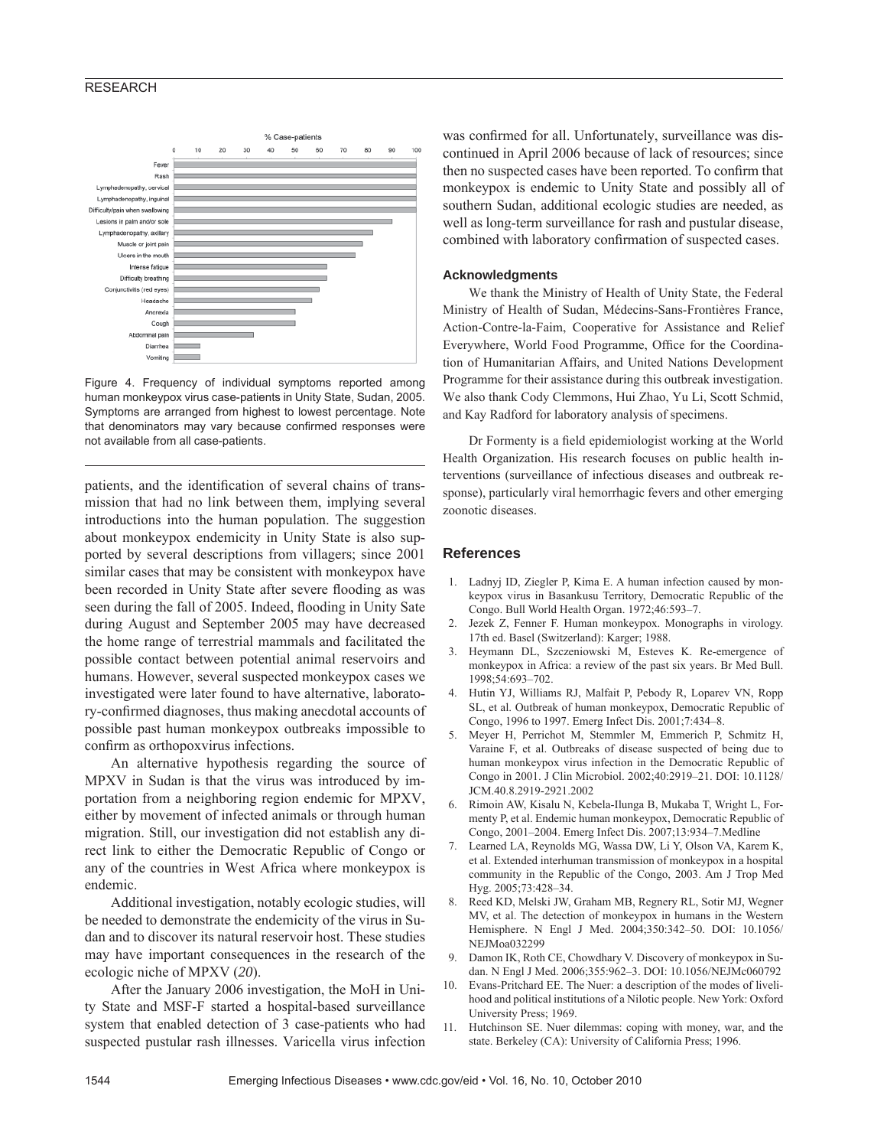# RESEARCH



Figure 4. Frequency of individual symptoms reported among human monkeypox virus case-patients in Unity State, Sudan, 2005. Symptoms are arranged from highest to lowest percentage. Note that denominators may vary because confirmed responses were not available from all case-patients.

patients, and the identification of several chains of transmission that had no link between them, implying several introductions into the human population. The suggestion about monkeypox endemicity in Unity State is also supported by several descriptions from villagers; since 2001 similar cases that may be consistent with monkeypox have been recorded in Unity State after severe flooding as was seen during the fall of 2005. Indeed, flooding in Unity Sate during August and September 2005 may have decreased the home range of terrestrial mammals and facilitated the possible contact between potential animal reservoirs and humans. However, several suspected monkeypox cases we investigated were later found to have alternative, laboratory-confirmed diagnoses, thus making anecdotal accounts of possible past human monkeypox outbreaks impossible to confirm as orthopoxvirus infections.

An alternative hypothesis regarding the source of MPXV in Sudan is that the virus was introduced by importation from a neighboring region endemic for MPXV, either by movement of infected animals or through human migration. Still, our investigation did not establish any direct link to either the Democratic Republic of Congo or any of the countries in West Africa where monkeypox is endemic.

Additional investigation, notably ecologic studies, will be needed to demonstrate the endemicity of the virus in Sudan and to discover its natural reservoir host. These studies may have important consequences in the research of the ecologic niche of MPXV (*20*).

After the January 2006 investigation, the MoH in Unity State and MSF-F started a hospital-based surveillance system that enabled detection of 3 case-patients who had suspected pustular rash illnesses. Varicella virus infection

was confirmed for all. Unfortunately, surveillance was discontinued in April 2006 because of lack of resources; since then no suspected cases have been reported. To confirm that monkeypox is endemic to Unity State and possibly all of southern Sudan, additional ecologic studies are needed, as well as long-term surveillance for rash and pustular disease, combined with laboratory confirmation of suspected cases.

#### **Acknowledgments**

We thank the Ministry of Health of Unity State, the Federal Ministry of Health of Sudan, Médecins-Sans-Frontières France, Action-Contre-la-Faim, Cooperative for Assistance and Relief Everywhere, World Food Programme, Office for the Coordination of Humanitarian Affairs, and United Nations Development Programme for their assistance during this outbreak investigation. We also thank Cody Clemmons, Hui Zhao, Yu Li, Scott Schmid, and Kay Radford for laboratory analysis of specimens.

Dr Formenty is a field epidemiologist working at the World Health Organization. His research focuses on public health interventions (surveillance of infectious diseases and outbreak response), particularly viral hemorrhagic fevers and other emerging zoonotic diseases.

## **References**

- 1. Ladnyj ID, Ziegler P, Kima E. A human infection caused by monkeypox virus in Basankusu Territory, Democratic Republic of the Congo. Bull World Health Organ. 1972;46:593–7.
- Jezek Z, Fenner F. Human monkeypox. Monographs in virology. 17th ed. Basel (Switzerland): Karger; 1988.
- 3. Heymann DL, Szczeniowski M, Esteves K. Re-emergence of monkeypox in Africa: a review of the past six years. Br Med Bull. 1998;54:693–702.
- 4. Hutin YJ, Williams RJ, Malfait P, Pebody R, Loparev VN, Ropp SL, et al. Outbreak of human monkeypox, Democratic Republic of Congo, 1996 to 1997. Emerg Infect Dis. 2001;7:434–8.
- 5. Meyer H, Perrichot M, Stemmler M, Emmerich P, Schmitz H, Varaine F, et al. Outbreaks of disease suspected of being due to human monkeypox virus infection in the Democratic Republic of Congo in 2001. J Clin Microbiol. 2002;40:2919–21. DOI: 10.1128/ JCM.40.8.2919-2921.2002
- 6. Rimoin AW, Kisalu N, Kebela-Ilunga B, Mukaba T, Wright L, Formenty P, et al. Endemic human monkeypox, Democratic Republic of Congo, 2001–2004. Emerg Infect Dis. 2007;13:934–7.Medline
- 7. Learned LA, Reynolds MG, Wassa DW, Li Y, Olson VA, Karem K, et al. Extended interhuman transmission of monkeypox in a hospital community in the Republic of the Congo, 2003. Am J Trop Med Hyg. 2005;73:428–34.
- 8. Reed KD, Melski JW, Graham MB, Regnery RL, Sotir MJ, Wegner MV, et al. The detection of monkeypox in humans in the Western Hemisphere. N Engl J Med. 2004;350:342–50. DOI: 10.1056/ NEJMoa032299
- 9. Damon IK, Roth CE, Chowdhary V. Discovery of monkeypox in Sudan. N Engl J Med. 2006;355:962–3. DOI: 10.1056/NEJMc060792
- 10. Evans-Pritchard EE. The Nuer: a description of the modes of livelihood and political institutions of a Nilotic people. New York: Oxford University Press; 1969.
- 11. Hutchinson SE. Nuer dilemmas: coping with money, war, and the state. Berkeley (CA): University of California Press; 1996.